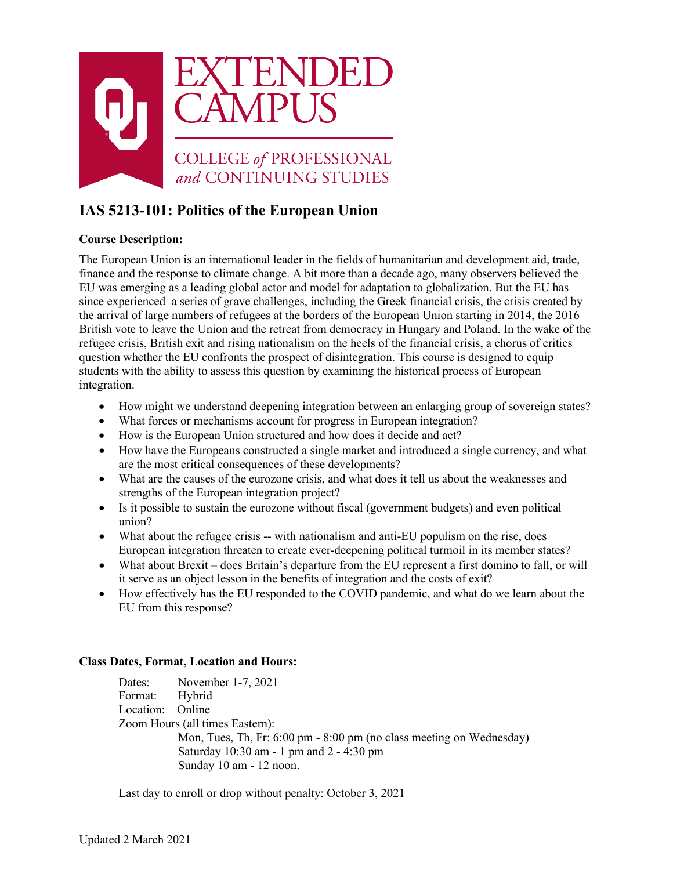

# **IAS 5213-101: Politics of the European Union**

# **Course Description:**

The European Union is an international leader in the fields of humanitarian and development aid, trade, finance and the response to climate change. A bit more than a decade ago, many observers believed the EU was emerging as a leading global actor and model for adaptation to globalization. But the EU has since experienced a series of grave challenges, including the Greek financial crisis, the crisis created by the arrival of large numbers of refugees at the borders of the European Union starting in 2014, the 2016 British vote to leave the Union and the retreat from democracy in Hungary and Poland. In the wake of the refugee crisis, British exit and rising nationalism on the heels of the financial crisis, a chorus of critics question whether the EU confronts the prospect of disintegration. This course is designed to equip students with the ability to assess this question by examining the historical process of European integration.

- How might we understand deepening integration between an enlarging group of sovereign states?
- What forces or mechanisms account for progress in European integration?
- How is the European Union structured and how does it decide and act?
- How have the Europeans constructed a single market and introduced a single currency, and what are the most critical consequences of these developments?
- What are the causes of the eurozone crisis, and what does it tell us about the weaknesses and strengths of the European integration project?
- Is it possible to sustain the eurozone without fiscal (government budgets) and even political union?
- What about the refugee crisis -- with nationalism and anti-EU populism on the rise, does European integration threaten to create ever-deepening political turmoil in its member states?
- What about Brexit does Britain's departure from the EU represent a first domino to fall, or will it serve as an object lesson in the benefits of integration and the costs of exit?
- How effectively has the EU responded to the COVID pandemic, and what do we learn about the EU from this response?

### **Class Dates, Format, Location and Hours:**

Dates: November 1-7, 2021 Format: Hybrid Location: Online Zoom Hours (all times Eastern): Mon, Tues, Th, Fr: 6:00 pm - 8:00 pm (no class meeting on Wednesday) Saturday 10:30 am - 1 pm and 2 - 4:30 pm Sunday 10 am - 12 noon.

Last day to enroll or drop without penalty: October 3, 2021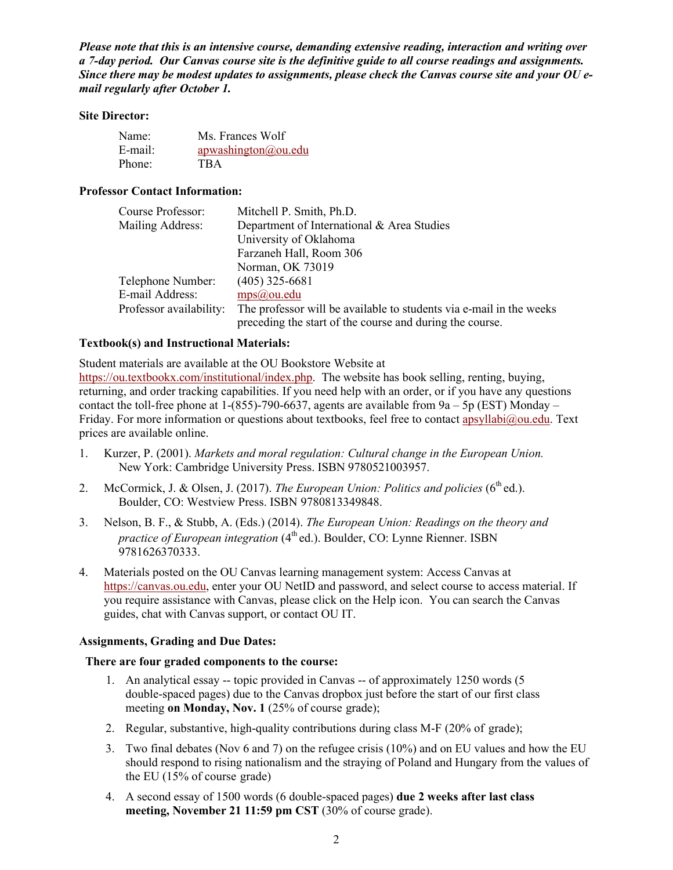*Please note that this is an intensive course, demanding extensive reading, interaction and writing over a 7-day period. Our Canvas course site is the definitive guide to all course readings and assignments. Since there may be modest updates to assignments, please check the Canvas course site and your OU email regularly after October 1.*

#### **Site Director:**

| Name:   | Ms. Frances Wolf    |
|---------|---------------------|
| E-mail: | apwashington@ou.edu |
| Phone:  | <b>TBA</b>          |

#### **Professor Contact Information:**

| Course Professor:       | Mitchell P. Smith, Ph.D.                                            |
|-------------------------|---------------------------------------------------------------------|
| Mailing Address:        | Department of International & Area Studies                          |
|                         | University of Oklahoma                                              |
|                         | Farzaneh Hall, Room 306                                             |
|                         | Norman, OK 73019                                                    |
| Telephone Number:       | $(405)$ 325-6681                                                    |
| E-mail Address:         | $mps(a)$ ou.edu                                                     |
| Professor availability: | The professor will be available to students via e-mail in the weeks |
|                         | preceding the start of the course and during the course.            |

#### **Textbook(s) and Instructional Materials:**

Student materials are available at the OU Bookstore Website at [https://ou.textbookx.com/institutional/index.php.](https://ou.textbookx.com/institutional/index.php) The website has book selling, renting, buying, returning, and order tracking capabilities. If you need help with an order, or if you have any questions contact the toll-free phone at  $1-(855)$ -790-6637, agents are available from  $9a - 5p$  (EST) Monday – Friday. For more information or questions about textbooks, feel free to contact [apsyllabi@ou.edu.](mailto:apsyllabi@ou.edu) Text prices are available online.

- 1. Kurzer, P. (2001). *Markets and moral regulation: Cultural change in the European Union.*  New York: Cambridge University Press. ISBN 9780521003957.
- 2. McCormick, J. & Olsen, J. (2017). *The European Union: Politics and policies* (6<sup>th</sup> ed.). Boulder, CO: Westview Press. ISBN 9780813349848.
- 3. Nelson, B. F., & Stubb, A. (Eds.) (2014). *The European Union: Readings on the theory and practice of European integration* (4<sup>th</sup> ed.). Boulder, CO: Lynne Rienner. ISBN 9781626370333.
- 4. Materials posted on the OU Canvas learning management system: Access Canvas at [https://canvas.ou.edu,](https://canvas.ou.edu/) enter your OU NetID and password, and select course to access material. If you require assistance with Canvas, please click on the Help icon. You can search the Canvas guides, chat with Canvas support, or contact OU IT.

#### **Assignments, Grading and Due Dates:**

#### **There are four graded components to the course:**

- 1. An analytical essay -- topic provided in Canvas -- of approximately 1250 words (5 double-spaced pages) due to the Canvas dropbox just before the start of our first class meeting **on Monday, Nov. 1** (25% of course grade);
- 2. Regular, substantive, high-quality contributions during class M-F (20% of grade);
- 3. Two final debates (Nov 6 and 7) on the refugee crisis (10%) and on EU values and how the EU should respond to rising nationalism and the straying of Poland and Hungary from the values of the EU (15% of course grade)
- 4. A second essay of 1500 words (6 double-spaced pages) **due 2 weeks after last class meeting, November 21 11:59 pm CST** (30% of course grade).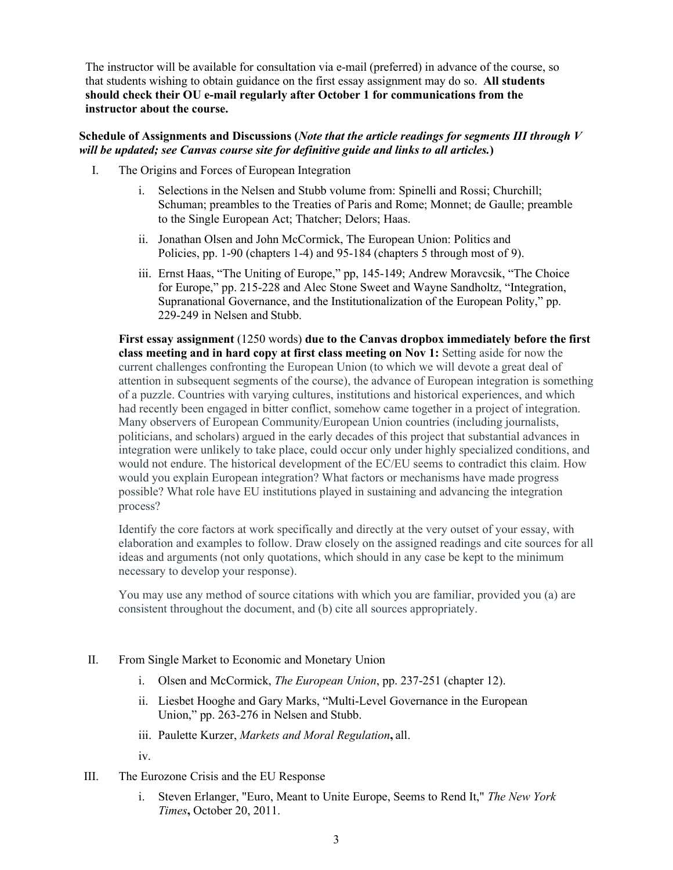The instructor will be available for consultation via e-mail (preferred) in advance of the course, so that students wishing to obtain guidance on the first essay assignment may do so. **All students should check their OU e-mail regularly after October 1 for communications from the instructor about the course.**

#### **Schedule of Assignments and Discussions (***Note that the article readings for segments III through V will be updated; see Canvas course site for definitive guide and links to all articles.***)**

- I. The Origins and Forces of European Integration
	- i. Selections in the Nelsen and Stubb volume from: Spinelli and Rossi; Churchill; Schuman; preambles to the Treaties of Paris and Rome; Monnet; de Gaulle; preamble to the Single European Act; Thatcher; Delors; Haas.
	- ii. Jonathan Olsen and John McCormick, The European Union: Politics and Policies, pp. 1-90 (chapters 1-4) and 95-184 (chapters 5 through most of 9).
	- iii. Ernst Haas, "The Uniting of Europe," pp, 145-149; Andrew Moravcsik, "The Choice for Europe," pp. 215-228 and Alec Stone Sweet and Wayne Sandholtz, "Integration, Supranational Governance, and the Institutionalization of the European Polity," pp. 229-249 in Nelsen and Stubb.

**First essay assignment** (1250 words) **due to the Canvas dropbox immediately before the first class meeting and in hard copy at first class meeting on Nov 1:** Setting aside for now the current challenges confronting the European Union (to which we will devote a great deal of attention in subsequent segments of the course), the advance of European integration is something of a puzzle. Countries with varying cultures, institutions and historical experiences, and which had recently been engaged in bitter conflict, somehow came together in a project of integration. Many observers of European Community/European Union countries (including journalists, politicians, and scholars) argued in the early decades of this project that substantial advances in integration were unlikely to take place, could occur only under highly specialized conditions, and would not endure. The historical development of the EC/EU seems to contradict this claim. How would you explain European integration? What factors or mechanisms have made progress possible? What role have EU institutions played in sustaining and advancing the integration process?

Identify the core factors at work specifically and directly at the very outset of your essay, with elaboration and examples to follow. Draw closely on the assigned readings and cite sources for all ideas and arguments (not only quotations, which should in any case be kept to the minimum necessary to develop your response).

You may use any method of source citations with which you are familiar, provided you (a) are consistent throughout the document, and (b) cite all sources appropriately.

#### II. From Single Market to Economic and Monetary Union

- i. Olsen and McCormick, *The European Union*, pp. 237-251 (chapter 12).
- ii. Liesbet Hooghe and Gary Marks, "Multi-Level Governance in the European Union," pp. 263-276 in Nelsen and Stubb.
- iii. Paulette Kurzer, *Markets and Moral Regulation***,** all.

iv.

- III. The Eurozone Crisis and the EU Response
	- i. Steven Erlanger, "Euro, Meant to Unite Europe, Seems to Rend It," *The New York Times***,** October 20, 2011.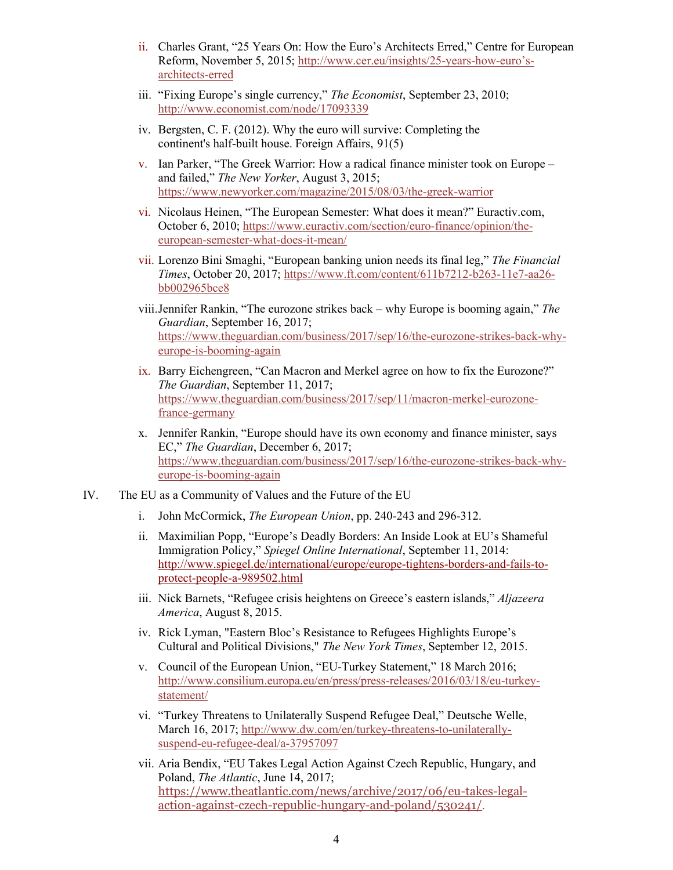- ii. Charles Grant, "25 Years On: How the Euro's Architects Erred," Centre for European Reform, November 5, 2015; [http://www.cer.eu/insights/25-years-how-euro's](http://www.cer.eu/insights/25-years-how-euro)[architects-erred](http://www.cer.eu/insights/25-years-how-euro)
- iii. "Fixing Europe's single currency," *The Economist*, September 23, 2010; <http://www.economist.com/node/17093339>
- iv. Bergsten, C. F. (2012). Why the euro will survive: Completing the continent's half-built house. Foreign Affairs, 91(5)
- v. Ian Parker, "The Greek Warrior: How a radical finance minister took on Europe and failed," *The New Yorker*, August 3, 2015; <https://www.newyorker.com/magazine/2015/08/03/the-greek-warrior>
- vi. Nicolaus Heinen, "The European Semester: What does it mean?" Euractiv.com, October 6, 2010; [https://www.euractiv.com/section/euro-finance/opinion/the](https://www.euractiv.com/section/euro-finance/opinion/the-european-semester-what-does-it-mean/)[european-semester-what-does-it-mean/](https://www.euractiv.com/section/euro-finance/opinion/the-european-semester-what-does-it-mean/)
- vii. Lorenzo Bini Smaghi, "European banking union needs its final leg," *The Financial Times*, October 20, 2017; [https://www.ft.com/content/611b7212-b263-11e7-aa26](https://www.ft.com/content/611b7212-b263-11e7-aa26-bb002965bce8) [bb002965bce8](https://www.ft.com/content/611b7212-b263-11e7-aa26-bb002965bce8)
- viii.Jennifer Rankin, "The eurozone strikes back why Europe is booming again," *The Guardian*, September 16, 2017; [https://www.theguardian.com/business/2017/sep/16/the-eurozone-strikes-back-why](https://www.theguardian.com/business/2017/sep/16/the-eurozone-strikes-back-why-europe-is-booming-again)[europe-is-booming-again](https://www.theguardian.com/business/2017/sep/16/the-eurozone-strikes-back-why-europe-is-booming-again)
- ix. Barry Eichengreen, "Can Macron and Merkel agree on how to fix the Eurozone?" *The Guardian*, September 11, 2017; [https://www.theguardian.com/business/2017/sep/11/macron-merkel-eurozone](https://www.theguardian.com/business/2017/sep/11/macron-merkel-eurozone-france-germany)[france-germany](https://www.theguardian.com/business/2017/sep/11/macron-merkel-eurozone-france-germany)
- x. Jennifer Rankin, "Europe should have its own economy and finance minister, says EC," *The Guardian*, December 6, 2017; [https://www.theguardian.com/business/2017/sep/16/the-eurozone-strikes-back-why](https://www.theguardian.com/business/2017/sep/16/the-eurozone-strikes-back-why-europe-is-booming-again)[europe-is-booming-again](https://www.theguardian.com/business/2017/sep/16/the-eurozone-strikes-back-why-europe-is-booming-again)
- IV. The EU as a Community of Values and the Future of the EU
	- i. John McCormick, *The European Union*, pp. 240-243 and 296-312.
	- ii. Maximilian Popp, "Europe's Deadly Borders: An Inside Look at EU's Shameful Immigration Policy," *Spiegel Online International*, September 11, 2014: [http://www.spiegel.de/international/europe/europe-tightens-borders-and-fails-to](http://www.spiegel.de/international/europe/europe-tightens-borders-and-fails-to-%20protect-people-a-989502.html)[protect-people-a-989502.html](http://www.spiegel.de/international/europe/europe-tightens-borders-and-fails-to-%20protect-people-a-989502.html)
	- iii. Nick Barnets, "Refugee crisis heightens on Greece's eastern islands," *Aljazeera America*, August 8, 2015.
	- iv. Rick Lyman, "Eastern Bloc's Resistance to Refugees Highlights Europe's Cultural and Political Divisions," *The New York Times*, September 12, 2015.
	- v. Council of the European Union, "EU-Turkey Statement," 18 March 2016; [http://www.consilium.europa.eu/en/press/press-releases/2016/03/18/eu-turkey](http://www.consilium.europa.eu/en/press/press-releases/2016/03/18/eu-turkey-statement/)[statement/](http://www.consilium.europa.eu/en/press/press-releases/2016/03/18/eu-turkey-statement/)
	- vi. "Turkey Threatens to Unilaterally Suspend Refugee Deal," Deutsche Welle, March 16, 2017; [http://www.dw.com/en/turkey-threatens-to-unilaterally](http://www.dw.com/en/turkey-threatens-to-unilaterally-suspend-eu-refugee-deal/a-37957097)[suspend-eu-refugee-deal/a-37957097](http://www.dw.com/en/turkey-threatens-to-unilaterally-suspend-eu-refugee-deal/a-37957097)
	- vii. Aria Bendix, "EU Takes Legal Action Against Czech Republic, Hungary, and Poland, *The Atlantic*, June 14, 2017; [https://www.theatlantic.com/news/archive/2017/06/eu-takes-legal](https://www.theatlantic.com/news/archive/2017/06/eu-takes-legal-action-against-czech-republic-hungary-and-poland/530241/)[action-against-czech-republic-hungary-and-poland/530241/](https://www.theatlantic.com/news/archive/2017/06/eu-takes-legal-action-against-czech-republic-hungary-and-poland/530241/).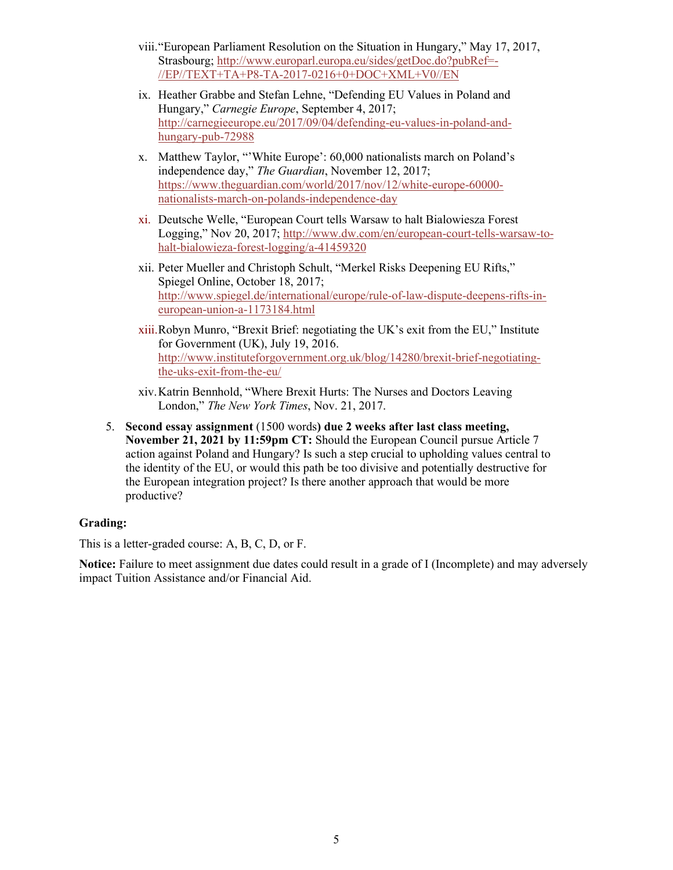- viii."European Parliament Resolution on the Situation in Hungary," May 17, 2017, Strasbourg; [http://www.europarl.europa.eu/sides/getDoc.do?pubRef=-](http://www.europarl.europa.eu/sides/getDoc.do?pubRef=-//EP//TEXT+TA+P8-TA-2017-0216+0+DOC+XML+V0//EN) [//EP//TEXT+TA+P8-TA-2017-0216+0+DOC+XML+V0//EN](http://www.europarl.europa.eu/sides/getDoc.do?pubRef=-//EP//TEXT+TA+P8-TA-2017-0216+0+DOC+XML+V0//EN)
- ix. Heather Grabbe and Stefan Lehne, "Defending EU Values in Poland and Hungary," *Carnegie Europe*, September 4, 2017; [http://carnegieeurope.eu/2017/09/04/defending-eu-values-in-poland-and](http://carnegieeurope.eu/2017/09/04/defending-eu-values-in-poland-and-hungary-pub-72988)[hungary-pub-72988](http://carnegieeurope.eu/2017/09/04/defending-eu-values-in-poland-and-hungary-pub-72988)
- x. Matthew Taylor, "'White Europe': 60,000 nationalists march on Poland's independence day," *The Guardian*, November 12, 2017; [https://www.theguardian.com/world/2017/nov/12/white-europe-60000](https://www.theguardian.com/world/2017/nov/12/white-europe-60000-nationalists-march-on-polands-independence-day) [nationalists-march-on-polands-independence-day](https://www.theguardian.com/world/2017/nov/12/white-europe-60000-nationalists-march-on-polands-independence-day)
- xi. Deutsche Welle, "European Court tells Warsaw to halt Bialowiesza Forest Logging," Nov 20, 2017; [http://www.dw.com/en/european-court-tells-warsaw-to](http://www.dw.com/en/european-court-tells-warsaw-to-halt-bialowieza-forest-logging/a-41459320)[halt-bialowieza-forest-logging/a-41459320](http://www.dw.com/en/european-court-tells-warsaw-to-halt-bialowieza-forest-logging/a-41459320)
- xii. Peter Mueller and Christoph Schult, "Merkel Risks Deepening EU Rifts," Spiegel Online, October 18, 2017; [http://www.spiegel.de/international/europe/rule-of-law-dispute-deepens-rifts-in](http://www.spiegel.de/international/europe/rule-of-law-dispute-deepens-rifts-in-european-union-a-1173184.html)[european-union-a-1173184.html](http://www.spiegel.de/international/europe/rule-of-law-dispute-deepens-rifts-in-european-union-a-1173184.html)
- xiii.Robyn Munro, "Brexit Brief: negotiating the UK's exit from the EU," Institute for Government (UK), July 19, 2016. [http://www.instituteforgovernment.org.uk/blog/14280/brexit-brief-negotiating](http://www.instituteforgovernment.org.uk/blog/14280/brexit-brief-negotiating-the-uks-exit-from-the-eu/)[the-uks-exit-from-the-eu/](http://www.instituteforgovernment.org.uk/blog/14280/brexit-brief-negotiating-the-uks-exit-from-the-eu/)
- xiv.Katrin Bennhold, "Where Brexit Hurts: The Nurses and Doctors Leaving London," *The New York Times*, Nov. 21, 2017.
- 5. **Second essay assignment** (1500 words**) due 2 weeks after last class meeting, November 21, 2021 by 11:59pm CT:** Should the European Council pursue Article 7 action against Poland and Hungary? Is such a step crucial to upholding values central to the identity of the EU, or would this path be too divisive and potentially destructive for the European integration project? Is there another approach that would be more productive?

### **Grading:**

This is a letter-graded course: A, B, C, D, or F.

**Notice:** Failure to meet assignment due dates could result in a grade of I (Incomplete) and may adversely impact Tuition Assistance and/or Financial Aid.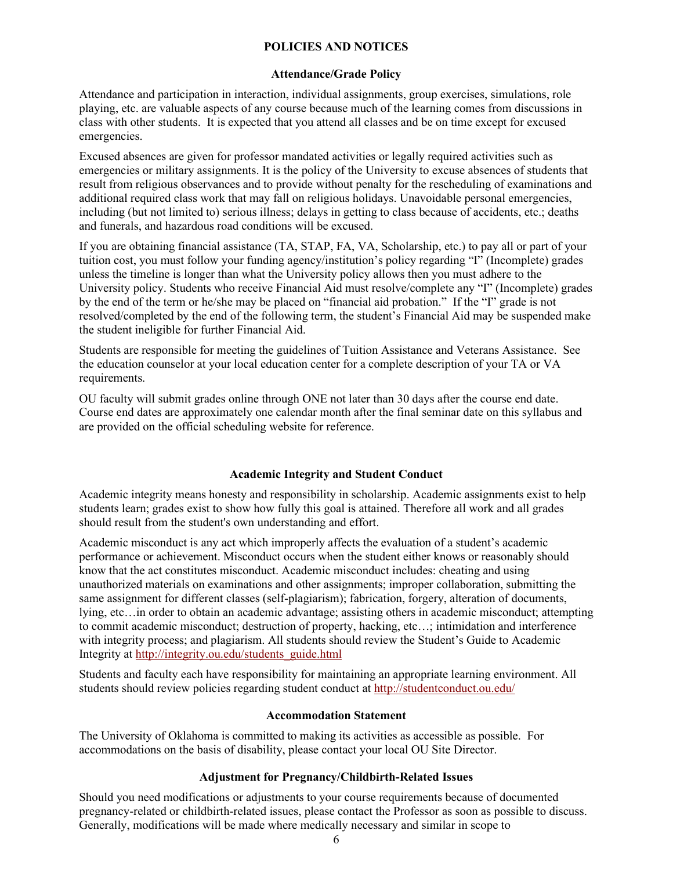#### **POLICIES AND NOTICES**

#### **Attendance/Grade Policy**

Attendance and participation in interaction, individual assignments, group exercises, simulations, role playing, etc. are valuable aspects of any course because much of the learning comes from discussions in class with other students. It is expected that you attend all classes and be on time except for excused emergencies.

Excused absences are given for professor mandated activities or legally required activities such as emergencies or military assignments. It is the policy of the University to excuse absences of students that result from religious observances and to provide without penalty for the rescheduling of examinations and additional required class work that may fall on religious holidays. Unavoidable personal emergencies, including (but not limited to) serious illness; delays in getting to class because of accidents, etc.; deaths and funerals, and hazardous road conditions will be excused.

If you are obtaining financial assistance (TA, STAP, FA, VA, Scholarship, etc.) to pay all or part of your tuition cost, you must follow your funding agency/institution's policy regarding "I" (Incomplete) grades unless the timeline is longer than what the University policy allows then you must adhere to the University policy. Students who receive Financial Aid must resolve/complete any "I" (Incomplete) grades by the end of the term or he/she may be placed on "financial aid probation." If the "I" grade is not resolved/completed by the end of the following term, the student's Financial Aid may be suspended make the student ineligible for further Financial Aid.

Students are responsible for meeting the guidelines of Tuition Assistance and Veterans Assistance. See the education counselor at your local education center for a complete description of your TA or VA requirements.

OU faculty will submit grades online through ONE not later than 30 days after the course end date. Course end dates are approximately one calendar month after the final seminar date on this syllabus and are provided on the official scheduling website for reference.

#### **Academic Integrity and Student Conduct**

Academic integrity means honesty and responsibility in scholarship. Academic assignments exist to help students learn; grades exist to show how fully this goal is attained. Therefore all work and all grades should result from the student's own understanding and effort.

Academic misconduct is any act which improperly affects the evaluation of a student's academic performance or achievement. Misconduct occurs when the student either knows or reasonably should know that the act constitutes misconduct. Academic misconduct includes: cheating and using unauthorized materials on examinations and other assignments; improper collaboration, submitting the same assignment for different classes (self-plagiarism); fabrication, forgery, alteration of documents, lying, etc…in order to obtain an academic advantage; assisting others in academic misconduct; attempting to commit academic misconduct; destruction of property, hacking, etc…; intimidation and interference with integrity process; and plagiarism. All students should review the Student's Guide to Academic Integrity at [http://integrity.ou.edu/students\\_guide.html](http://integrity.ou.edu/students_guide.html)

Students and faculty each have responsibility for maintaining an appropriate learning environment. All students should review policies regarding student conduct at<http://studentconduct.ou.edu/>

#### **Accommodation Statement**

The University of Oklahoma is committed to making its activities as accessible as possible. For accommodations on the basis of disability, please contact your local OU Site Director.

#### **Adjustment for Pregnancy/Childbirth-Related Issues**

Should you need modifications or adjustments to your course requirements because of documented pregnancy-related or childbirth-related issues, please contact the Professor as soon as possible to discuss. Generally, modifications will be made where medically necessary and similar in scope to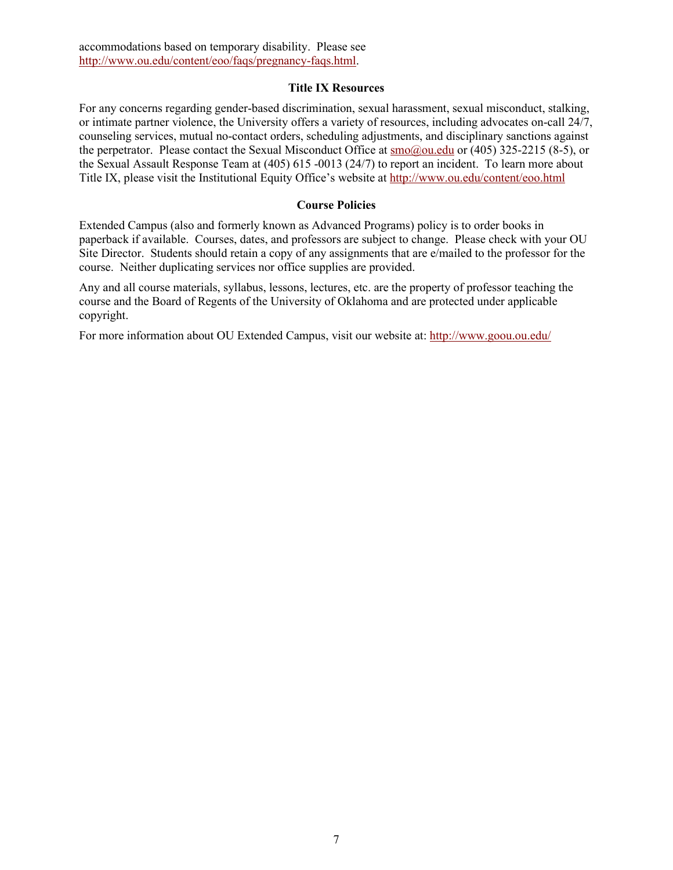#### **Title IX Resources**

For any concerns regarding gender-based discrimination, sexual harassment, sexual misconduct, stalking, or intimate partner violence, the University offers a variety of resources, including advocates on-call 24/7, counseling services, mutual no-contact orders, scheduling adjustments, and disciplinary sanctions against the perpetrator. Please contact the Sexual Misconduct Office at [smo@ou.edu](mailto:smo@ou.edu) or (405) 325-2215 (8-5), or the Sexual Assault Response Team at (405) 615 -0013 (24/7) to report an incident. To learn more about Title IX, please visit the Institutional Equity Office's website at<http://www.ou.edu/content/eoo.html>

### **Course Policies**

Extended Campus (also and formerly known as Advanced Programs) policy is to order books in paperback if available. Courses, dates, and professors are subject to change. Please check with your OU Site Director. Students should retain a copy of any assignments that are e/mailed to the professor for the course. Neither duplicating services nor office supplies are provided.

Any and all course materials, syllabus, lessons, lectures, etc. are the property of professor teaching the course and the Board of Regents of the University of Oklahoma and are protected under applicable copyright.

For more information about OU Extended Campus, visit our website at:<http://www.goou.ou.edu/>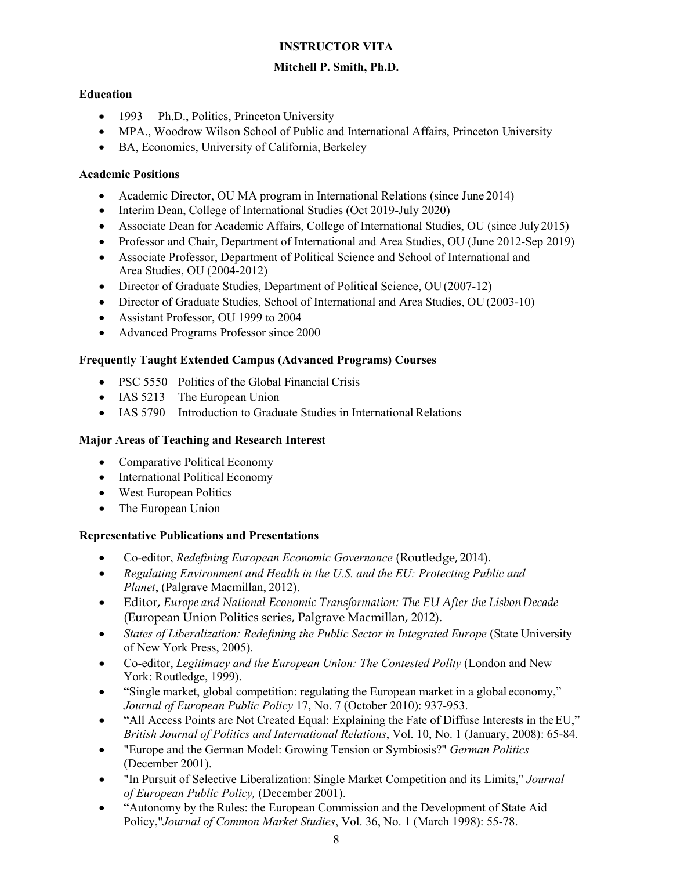### **INSTRUCTOR VITA**

# **Mitchell P. Smith, Ph.D.**

# **Education**

- 1993 Ph.D., Politics, Princeton University
- MPA., Woodrow Wilson School of Public and International Affairs, Princeton University
- BA, Economics, University of California, Berkeley

### **Academic Positions**

- Academic Director, OU MA program in International Relations (since June 2014)
- Interim Dean, College of International Studies (Oct 2019-July 2020)
- Associate Dean for Academic Affairs, College of International Studies, OU (since July 2015)
- Professor and Chair, Department of International and Area Studies, OU (June 2012-Sep 2019)
- Associate Professor, Department of Political Science and School of International and Area Studies, OU (2004-2012)
- Director of Graduate Studies, Department of Political Science, OU(2007-12)
- Director of Graduate Studies, School of International and Area Studies, OU (2003-10)
- Assistant Professor, OU 1999 to 2004
- Advanced Programs Professor since 2000

# **Frequently Taught Extended Campus (Advanced Programs) Courses**

- PSC 5550 Politics of the Global Financial Crisis
- IAS 5213 The European Union
- IAS 5790 Introduction to Graduate Studies in International Relations

# **Major Areas of Teaching and Research Interest**

- Comparative Political Economy
- International Political Economy
- West European Politics
- The European Union

### **Representative Publications and Presentations**

- Co-editor, *Redefining European Economic Governance* (Routledge, 2014).
- *Regulating Environment and Health in the U.S. and the EU: Protecting Public and Planet*, (Palgrave Macmillan, 2012).
- Editor, *Europe and National Economic Transformation: The EU After the LisbonDecade*  (European Union Politics series, Palgrave Macmillan, 2012).
- *States of Liberalization: Redefining the Public Sector in Integrated Europe* (State University of New York Press, 2005).
- Co-editor, *Legitimacy and the European Union: The Contested Polity* (London and New York: Routledge, 1999).
- "Single market, global competition: regulating the European market in a global economy," *Journal of European Public Policy* 17, No. 7 (October 2010): 937-953.
- "All Access Points are Not Created Equal: Explaining the Fate of Diffuse Interests in the EU," *British Journal of Politics and International Relations*, Vol. 10, No. 1 (January, 2008): 65-84.
- "Europe and the German Model: Growing Tension or Symbiosis?" *German Politics*  (December 2001).
- "In Pursuit of Selective Liberalization: Single Market Competition and its Limits," *Journal of European Public Policy,* (December 2001).
- "Autonomy by the Rules: the European Commission and the Development of State Aid Policy,"*Journal of Common Market Studies*, Vol. 36, No. 1 (March 1998): 55-78.